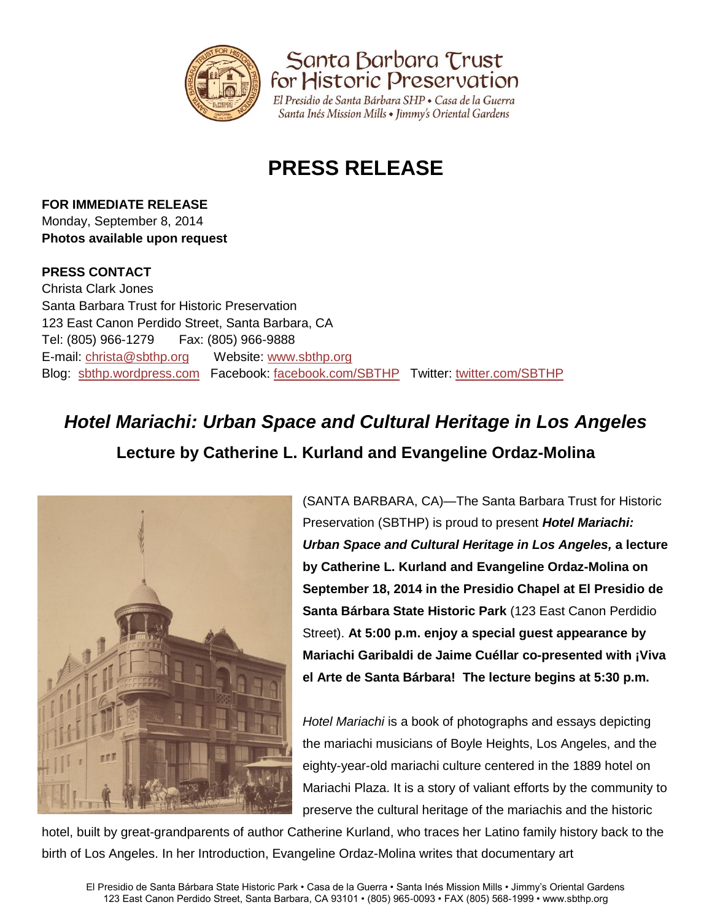

Santa Barbara Trust<br>for Historic Preservation

El Presidio de Santa Bárbara SHP · Casa de la Guerra Santa Inés Mission Mills • Jimmy's Oriental Gardens

# **PRESS RELEASE**

## **FOR IMMEDIATE RELEASE**

Monday, September 8, 2014 **Photos available upon request**

### **PRESS CONTACT**

Christa Clark Jones Santa Barbara Trust for Historic Preservation 123 East Canon Perdido Street, Santa Barbara, CA Tel: (805) 966-1279 Fax: (805) 966-9888 E-mail: [christa@sbthp.org](mailto:christa@sbthp.org) Website: [www.sbthp.org](http://www.sbthp.org/) Blog: [sbthp.wordpress.com](http://sbthp.wordpress.com/) Facebook: [facebook.com/SBTHP](http://www.facebook.com/SBTHP) Twitter: [twitter.com/SBTHP](http://twitter.com/SBTHP)

## *Hotel Mariachi: Urban Space and Cultural Heritage in Los Angeles* **Lecture by Catherine L. Kurland and Evangeline Ordaz-Molina**



(SANTA BARBARA, CA)—The Santa Barbara Trust for Historic Preservation (SBTHP) is proud to present *Hotel Mariachi: Urban Space and Cultural Heritage in Los Angeles,* **a lecture by Catherine L. Kurland and Evangeline Ordaz-Molina on September 18, 2014 in the Presidio Chapel at El Presidio de Santa Bárbara State Historic Park** (123 East Canon Perdidio Street). **At 5:00 p.m. enjoy a special guest appearance by Mariachi Garibaldi de Jaime Cuéllar co-presented with ¡Viva el Arte de Santa Bárbara! The lecture begins at 5:30 p.m.** 

*Hotel Mariachi* is a book of photographs and essays depicting the mariachi musicians of Boyle Heights, Los Angeles, and the eighty-year-old mariachi culture centered in the 1889 hotel on Mariachi Plaza. It is a story of valiant efforts by the community to preserve the cultural heritage of the mariachis and the historic

hotel, built by great-grandparents of author Catherine Kurland, who traces her Latino family history back to the birth of Los Angeles. In her Introduction, Evangeline Ordaz-Molina writes that documentary art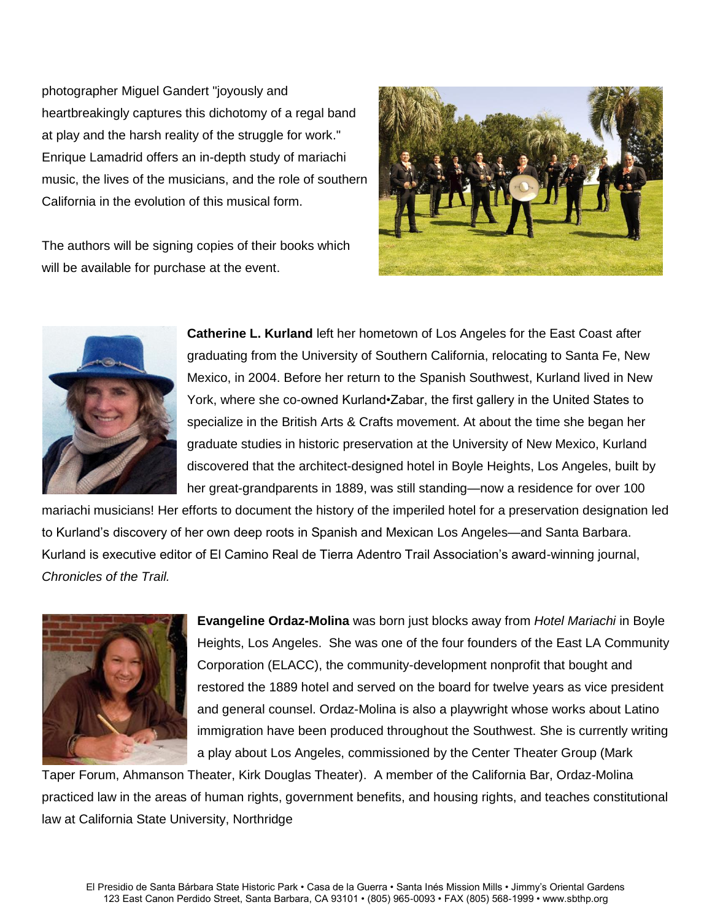photographer Miguel Gandert "joyously and heartbreakingly captures this dichotomy of a regal band at play and the harsh reality of the struggle for work." Enrique Lamadrid offers an in-depth study of mariachi music, the lives of the musicians, and the role of southern California in the evolution of this musical form.

The authors will be signing copies of their books which will be available for purchase at the event.





**Catherine L. Kurland** left her hometown of Los Angeles for the East Coast after graduating from the University of Southern California, relocating to Santa Fe, New Mexico, in 2004. Before her return to the Spanish Southwest, Kurland lived in New York, where she co-owned Kurland•Zabar, the first gallery in the United States to specialize in the British Arts & Crafts movement. At about the time she began her graduate studies in historic preservation at the University of New Mexico, Kurland discovered that the architect-designed hotel in Boyle Heights, Los Angeles, built by her great-grandparents in 1889, was still standing—now a residence for over 100

mariachi musicians! Her efforts to document the history of the imperiled hotel for a preservation designation led to Kurland's discovery of her own deep roots in Spanish and Mexican Los Angeles—and Santa Barbara. Kurland is executive editor of El Camino Real de Tierra Adentro Trail Association's award-winning journal, *Chronicles of the Trail.*



**Evangeline Ordaz-Molina** was born just blocks away from *Hotel Mariachi* in Boyle Heights, Los Angeles. She was one of the four founders of the East LA Community Corporation (ELACC), the community-development nonprofit that bought and restored the 1889 hotel and served on the board for twelve years as vice president and general counsel. Ordaz-Molina is also a playwright whose works about Latino immigration have been produced throughout the Southwest. She is currently writing a play about Los Angeles, commissioned by the Center Theater Group (Mark

Taper Forum, Ahmanson Theater, Kirk Douglas Theater). A member of the California Bar, Ordaz-Molina practiced law in the areas of human rights, government benefits, and housing rights, and teaches constitutional law at California State University, Northridge